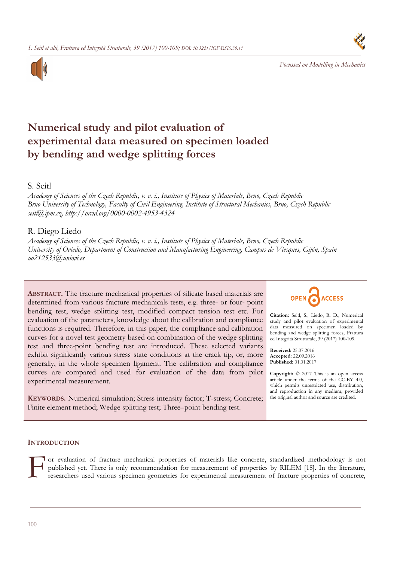

*Focussed on Modelling in Mechanics* 



# **Numerical study and pilot evaluation of experimental data measured on specimen loaded by bending and wedge splitting forces**

## S. Seitl

*Academy of Sciences of the Czech Republic, v. v. i., Institute of Physics of Materials, Brno, Czech Republic Brno University of Technology, Faculty of Civil Engineering, Institute of Structural Mechanics, Brno, Czech Republic seitl@ipm.cz, http://orcid.org/0000-0002-4953-4324*

# R. Diego Liedo

*Academy of Sciences of the Czech Republic, v. v. i., Institute of Physics of Materials, Brno, Czech Republic University of Oviedo, Department of Construction and Manufacturing Engineering, Campus de Viesques, Gijón, Spain uo212533@uniovi.es*

**ABSTRACT.** The fracture mechanical properties of silicate based materials are determined from various fracture mechanicals tests, e.g. three- or four- point bending test, wedge splitting test, modified compact tension test etc. For evaluation of the parameters, knowledge about the calibration and compliance functions is required. Therefore, in this paper, the compliance and calibration curves for a novel test geometry based on combination of the wedge splitting test and three-point bending test are introduced. These selected variants exhibit significantly various stress state conditions at the crack tip, or, more generally, in the whole specimen ligament. The calibration and compliance curves are compared and used for evaluation of the data from pilot experimental measurement.

**KEYWORDS.** Numerical simulation; Stress intensity factor; T-stress; Concrete; Finite element method; Wedge splitting test; Three–point bending test.



**Citation:** Seitl, S., Liedo, R. D., Numerical study and pilot evaluation of experimental data measured on specimen loaded by bending and wedge splitting forces, Frattura ed Integrità Strutturale, 39 (2017) 100-109.

**Received:** 25.07.2016 **Accepted:** 22.09.2016 **Published:** 01.01.2017

**Copyright:** © 2017 This is an open access article under the terms of the CC-BY 4.0, which permits unrestricted use, distribution, and reproduction in any medium, provided the original author and source are credited.

## **INTRODUCTION**

or evaluation of fracture mechanical properties of materials like concrete, standardized methodology is not published yet. There is only recommendation for measurement of properties by RILEM [18]. In the literature, researchers used various specimen geometries for experimental measurement of fracture properties of concrete,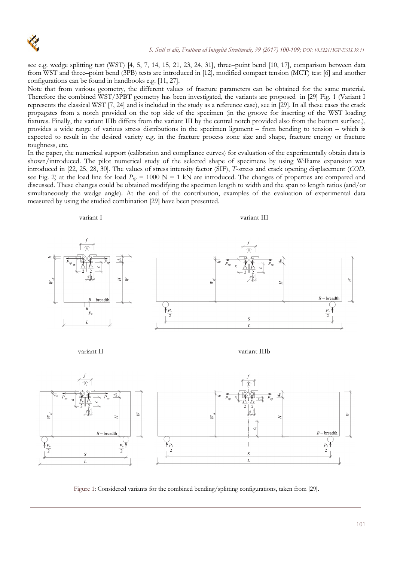

see e.g. wedge splitting test (WST) [4, 5, 7, 14, 15, 21, 23, 24, 31], three–point bend [10, 17], comparison between data from WST and three–point bend (3PB) tests are introduced in [12], modified compact tension (MCT) test [6] and another configurations can be found in handbooks e.g. [11, 27].

Note that from various geometry, the different values of fracture parameters can be obtained for the same material. Therefore the combined WST/3PBT geometry has been investigated, the variants are proposed in [29] Fig. 1 (Variant I represents the classical WST [7, 24] and is included in the study as a reference case), see in [29]. In all these cases the crack propagates from a notch provided on the top side of the specimen (in the groove for inserting of the WST loading fixtures. Finally, the variant IIIb differs from the variant III by the central notch provided also from the bottom surface.), provides a wide range of various stress distributions in the specimen ligament – from bending to tension – which is expected to result in the desired variety e.g. in the fracture process zone size and shape, fracture energy or fracture toughness, etc.

In the paper, the numerical support (calibration and compliance curves) for evaluation of the experimentally obtain data is shown/introduced. The pilot numerical study of the selected shape of specimens by using Williams expansion was introduced in [22, 25, 28, 30]. The values of stress intensity factor (SIF), *T*-stress and crack opening displacement (*COD*, see Fig. 2) at the load line for load  $P_{sp} = 1000 \text{ N} = 1 \text{ kN}$  are introduced. The changes of properties are compared and discussed. These changes could be obtained modifying the specimen length to width and the span to length ratios (and/or simultaneously the wedge angle). At the end of the contribution, examples of the evaluation of experimental data measured by using the studied combination [29] have been presented.



variant II variant IIIb



Figure 1: Considered variants for the combined bending/splitting configurations, taken from [29].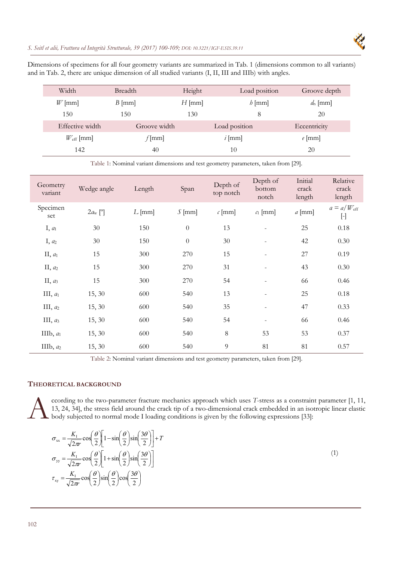### *S. Seitl et alii, Frattura ed Integrità Strutturale, 39 (2017) 100-109; DOI: 10.3221/IGF-ESIS.39.11*



Dimensions of specimens for all four geometry variants are summarized in Tab. 1 (dimensions common to all variants) and in Tab. 2, there are unique dimension of all studied variants (I, II, III and IIIb) with angles.

| Width              | <b>Breadth</b> | Height   | Load position | Groove depth |
|--------------------|----------------|----------|---------------|--------------|
| $W$ [mm]           | $B$ [mm]       | $H$ [mm] | $h$ [mm]      | $d_n$ [mm]   |
| 150                | 150            | 130      | 8             | 20           |
| Effective width    | Groove width   |          | Load position | Eccentricity |
| $W_{\rm eff}$ [mm] | $f$ [mm]       |          | $i$ [mm]      | $e$ [mm]     |
| 142                | 40             |          | 10            | 20           |

Table 1: Nominal variant dimensions and test geometry parameters, taken from [29].

| Geometry<br>variant | Wedge angle             | Length   | Span             | Depth of<br>top notch | Depth of<br>bottom<br>notch | Initial<br>crack<br>length | Relative<br>crack<br>length         |
|---------------------|-------------------------|----------|------------------|-----------------------|-----------------------------|----------------------------|-------------------------------------|
| Specimen<br>set     | $2a_{w}$ <sup>[°]</sup> | $L$ [mm] | $\int$ [mm]      | $\mathcal{C}$ [mm]    | $c_1$ [mm]                  | $a$ [mm]                   | $a = a/W_{\text{eff}}$<br>$[\cdot]$ |
| $I, a_1$            | 30                      | 150      | $\boldsymbol{0}$ | 13                    |                             | 25                         | 0.18                                |
| I, a <sub>2</sub>   | 30                      | 150      | $\boldsymbol{0}$ | $30\,$                | $\frac{1}{2}$               | 42                         | 0.30                                |
| II, $a_1$           | 15                      | 300      | 270              | 15                    |                             | 27                         | 0.19                                |
| $II, a_2$           | 15                      | 300      | 270              | 31                    | $\overline{\phantom{a}}$    | 43                         | 0.30                                |
| $II, a_3$           | 15                      | 300      | 270              | 54                    | $\frac{1}{2}$               | 66                         | 0.46                                |
| III, $a_1$          | 15, 30                  | 600      | 540              | 13                    | $\overline{\phantom{0}}$    | 25                         | 0.18                                |
| III, $a_2$          | 15, 30                  | 600      | 540              | 35                    |                             | 47                         | 0.33                                |
| III, $a_3$          | 15, 30                  | 600      | 540              | 54                    | $\overline{\phantom{a}}$    | 66                         | 0.46                                |
| IIIb, $a_1$         | 15, 30                  | 600      | 540              | $\, 8$                | 53                          | 53                         | 0.37                                |
| IIIb, $a_2$         | 15, 30                  | 600      | 540              | $\overline{9}$        | 81                          | 81                         | 0.57                                |

Table 2: Nominal variant dimensions and test geometry parameters, taken from [29].

## **THEORETICAL BACKGROUND**

ccording to the two-parameter fracture mechanics approach which uses *T*-stress as a constraint parameter [1, 11, 13, 24, 34], the stress field around the crack tip of a two-dimensional crack embedded in an isotropic linear elastic body subjected to normal mode I loading conditions is given by the following expressions [33]:  $\mathbf{A}^{\text{cc}}_{\text{bc}}$ 

$$
\sigma_{xx} = \frac{K_1}{\sqrt{2\pi r}} \cos\left(\frac{\theta}{2}\right) \left[1 - \sin\left(\frac{\theta}{2}\right) \sin\left(\frac{3\theta}{2}\right)\right] + T
$$
\n
$$
\sigma_{yy} = \frac{K_1}{\sqrt{2\pi r}} \cos\left(\frac{\theta}{2}\right) \left[1 + \sin\left(\frac{\theta}{2}\right) \sin\left(\frac{3\theta}{2}\right)\right]
$$
\n
$$
\tau_{xy} = \frac{K_1}{\sqrt{2\pi r}} \cos\left(\frac{\theta}{2}\right) \sin\left(\frac{\theta}{2}\right) \cos\left(\frac{3\theta}{2}\right)
$$
\n(1)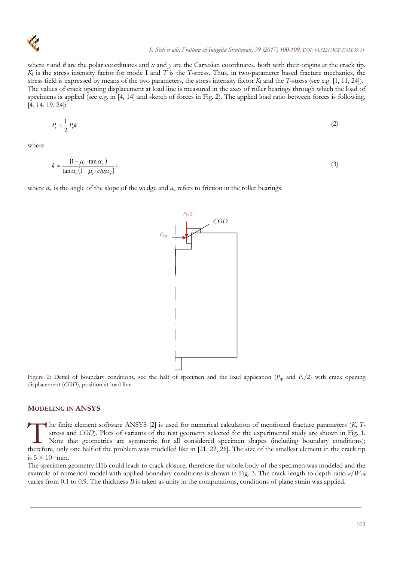

where *r* and  $\theta$  are the polar coordinates and *x* and *y* are the Cartesian coordinates, both with their origins at the crack tip. *K*I is the stress intensity factor for mode I and *T* is the *T-*stress. Thus, in two-parameter based fracture mechanics, the stress field is expressed by means of the two parameters, the stress intensity factor  $K_I$  and the *T*-stress (see e.g. [1, 11, 24]). The values of crack opening displacement at load line is measured in the axes of roller bearings through which the load of specimens is applied (see e.g. in [4, 14] and sketch of forces in Fig. 2). The applied load ratio between forces is following, [4, 14, 19, 24]:

$$
P_s = \frac{1}{2} P_v k \tag{2}
$$

where

$$
k = \frac{\left(1 - \mu_c \cdot \tan \alpha_w\right)}{\tan \alpha_w \left(1 + \mu_c \cdot \text{ctg}\alpha_w\right)},\tag{3}
$$

where  $a_w$  is the angle of the slope of the wedge and  $\mu_c$  refers to friction in the roller bearings.



Figure 2: Detail of boundary conditions, see the half of specimen and the load application ( $P_{sp}$  and  $P_v/2$ ) with crack opening displacement (*COD*), position at load line.

## **MODELING IN ANSYS**

he finite element software ANSYS [2] is used for numerical calculation of mentioned fracture parameters (*K*, *T*stress and *COD*). Plots of variants of the test geometry selected for the experimental study are shown in Fig. 1. Note that geometries are symmetric for all considered specimen shapes (including boundary conditions); The finite element software ANSYS [2] is used for numerical calculation of mentioned fracture parameters (*K*, *T*-<br>stress and *COD*). Plots of variants of the test geometry selected for the experimental study are shown in is  $5 \times 10^{-5}$  mm.

The specimen geometry IIIb could leads to crack closure, therefore the whole body of the specimen was modeled and the example of numerical model with applied boundary conditions is shown in Fig. 3. The crack length to depth ratio *a/W*eff varies from 0.1 to 0.9. The thickness *B* is taken as unity in the computations, conditions of plane strain was applied.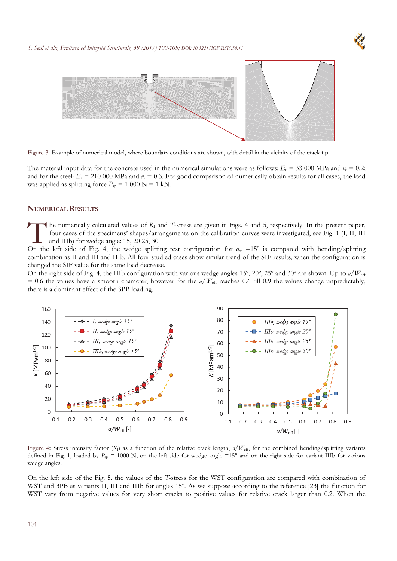



Figure 3: Example of numerical model, where boundary conditions are shown, with detail in the vicinity of the crack tip.

The material input data for the concrete used in the numerical simulations were as follows:  $E_c = 33\,000$  MPa and  $v_c = 0.2$ ; and for the steel:  $E_s = 210\,000$  MPa and  $\nu_s = 0.3$ . For good comparison of numerically obtain results for all cases, the load was applied as splitting force  $P_{\text{sp}} = 1000 \text{ N} = 1 \text{ kN}$ .

#### **NUMERICAL RESULTS**

The numerically calculated values of  $K_I$  and *T*-stress are given in Figs. 4 and 5, respectively. In the present paper, four cases of the specimens' shapes/arrangements on the calibration curves were investigated, see Fig. 1 (I, II, III and IIIb) for wedge angle: 15, 20 25, 30. The numerically calculated values of  $K_I$  and *T*-stress are given in Figs. 4 and 5, respectively. In the present paper, four cases of the specimens' shapes/arrangements on the calibration curves were investigated, see Fi

combination as II and III and IIIb. All four studied cases show similar trend of the SIF results, when the configuration is changed the SIF value for the same load decrease.

On the right side of Fig. 4, the IIIb configuration with various wedge angles 15º, 20º, 25º and 30º are shown. Up to *a/W*eff  $= 0.6$  the values have a smooth character, however for the  $a/W_{\text{eff}}$  reaches 0.6 till 0.9 the values change unpredictably, there is a dominant effect of the 3PB loading.



Figure 4: Stress intensity factor (*K*I) as a function of the relative crack length, *α/W*eff, for the combined bending/splitting variants defined in Fig. 1, loaded by  $P_{sp} = 1000$  N, on the left side for wedge angle =15° and on the right side for variant IIIb for various wedge angles.

On the left side of the Fig. 5, the values of the *T*-stress for the WST configuration are compared with combination of WST and 3PB as variants II, III and IIIb for angles 15<sup>o</sup>. As we suppose according to the reference [23] the function for WST vary from negative values for very short cracks to positive values for relative crack larger than 0.2. When the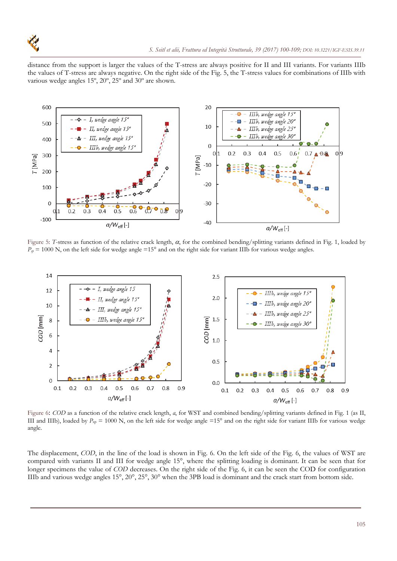

distance from the support is larger the values of the T-stress are always positive for II and III variants. For variants IIIb the values of T-stress are always negative. On the right side of the Fig. 5, the T-stress values for combinations of IIIb with various wedge angles 15º, 20º, 25º and 30º are shown.



Figure 5: *T*-stress as function of the relative crack length,  $\alpha$ , for the combined bending/splitting variants defined in Fig. 1, loaded by  $P_p = 1000$  N, on the left side for wedge angle =15° and on the right side for variant IIIb for various wedge angles.



III and IIIb), loaded by  $P_{sp} = 1000$  N, on the left side for wedge angle =15° and on the right side for variant IIIb for various wedge angle.

The displacement, *COD*, in the line of the load is shown in Fig. 6. On the left side of the Fig. 6, the values of WST are compared with variants II and III for wedge angle 15°, where the splitting loading is dominant. It can be seen that for longer specimens the value of *COD* decreases. On the right side of the Fig. 6, it can be seen the COD for configuration IIIb and various wedge angles 15°, 20°, 25°, 30° when the 3PB load is dominant and the crack start from bottom side.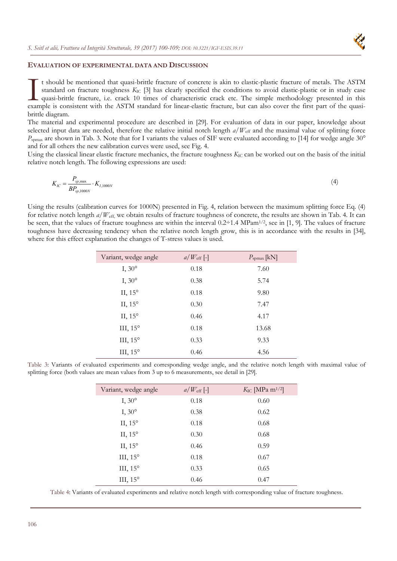## **EVALUATION OF EXPERIMENTAL DATA AND DISCUSSION**

t should be mentioned that quasi-brittle fracture of concrete is akin to elastic-plastic fracture of metals. The ASTM standard on fracture toughness *K*<sub>IC</sub> [3] has clearly specified the conditions to avoid elastic-plastic or in study case quasi-brittle fracture, i.e. crack 10 times of characteristic crack etc. The simple methodology presented in this It should be mentioned that quasi-brittle fracture of concrete is akin to elastic-plastic fracture of metals. The ASTM standard on fracture toughness  $K_{\text{IC}}$  [3] has clearly specified the conditions to avoid elastic-pla brittle diagram.

The material and experimental procedure are described in [29]. For evaluation of data in our paper, knowledge about selected input data are needed, therefore the relative initial notch length  $a/W_{\text{eff}}$  and the maximal value of splitting force *P*<sub>spmax</sub> are shown in Tab. 3. Note that for I variants the values of SIF were evaluated according to [14] for wedge angle 30° and for all others the new calibration curves were used, see Fig. 4.

Using the classical linear elastic fracture mechanics, the fracture toughness *K*<sub>IC</sub> can be worked out on the basis of the initial relative notch length. The following expressions are used:

$$
K_{IC} = \frac{P_{sp,\text{max}}}{BP_{sp,1000N}} \cdot K_{I,1000N} \tag{4}
$$

Using the results (calibration curves for 1000N) presented in Fig. 4, relation between the maximum splitting force Eq. (4) for relative notch length *a/W*<sub>eff</sub>, we obtain results of fracture toughness of concrete, the results are shown in Tab. 4. It can be seen, that the values of fracture toughness are within the interval 0.2÷1.4 MPam1/2, see in [1, 9]. The values of fracture toughness have decreasing tendency when the relative notch length grow, this is in accordance with the results in [34], where for this effect explanation the changes of T-stress values is used.

| Variant, wedge angle | $a/W_{\rm eff}$ [-] | $P_{\text{spmax}}$ [kN] |
|----------------------|---------------------|-------------------------|
| I, $30^\circ$        | 0.18                | 7.60                    |
| I, $30^\circ$        | 0.38                | 5.74                    |
| II, $15^\circ$       | 0.18                | 9.80                    |
| II, $15^\circ$       | 0.30                | 7.47                    |
| II, $15^\circ$       | 0.46                | 4.17                    |
| III, $15^\circ$      | 0.18                | 13.68                   |
| III, $15^\circ$      | 0.33                | 9.33                    |
| III, $15^\circ$      | 0.46                | 4.56                    |

Table 3: Variants of evaluated experiments and corresponding wedge angle, and the relative notch length with maximal value of splitting force (both values are mean values from 3 up to 6 measurements, see detail in [29].

| Variant, wedge angle | $a/W_{\rm eff}$ [-] | $K_{\text{IC}}$ [MPa m <sup>1/2</sup> ] |
|----------------------|---------------------|-----------------------------------------|
| $I, 30^{\circ}$      | 0.18                | 0.60                                    |
| I, $30^\circ$        | 0.38                | 0.62                                    |
| II, $15^\circ$       | 0.18                | 0.68                                    |
| II, $15^\circ$       | 0.30                | 0.68                                    |
| II, $15^\circ$       | 0.46                | 0.59                                    |
| III, 15°             | 0.18                | 0.67                                    |
| III, 15°             | 0.33                | 0.65                                    |
| III, $15^\circ$      | 0.46                | 0.47                                    |

Table 4: Variants of evaluated experiments and relative notch length with corresponding value of fracture toughness.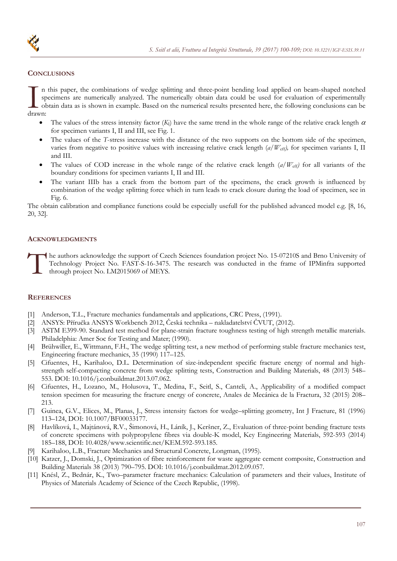

#### **CONCLUSIONS**

n this paper, the combinations of wedge splitting and three-point bending load applied on beam-shaped notched specimens are numerically analyzed. The numerically obtain data could be used for evaluation of experimentally obtain data as is shown in example. Based on the numerical results presented here, the following conclusions can be I ap<br>drawn:

- The values of the stress intensity factor  $(K<sub>I</sub>)$  have the same trend in the whole range of the relative crack length  $\alpha$ for specimen variants I, II and III, see Fig. 1.
- The values of the *T*-stress increase with the distance of the two supports on the bottom side of the specimen, varies from negative to positive values with increasing relative crack length (*a*/W<sub>eff</sub>), for specimen variants I, II and III.
- The values of COD increase in the whole range of the relative crack length (*a/W*eff*)* for all variants of the boundary conditions for specimen variants I, II and III.
- The variant IIIb has a crack from the bottom part of the specimens, the crack growth is influenced by combination of the wedge splitting force which in turn leads to crack closure during the load of specimen, see in Fig. 6.

The obtain calibration and compliance functions could be especially usefull for the published advanced model e.g. [8, 16, 20, 32].

#### **ACKNOWLEDGMENTS**

he authors acknowledge the support of Czech Sciences foundation project No. 15-07210S and Brno University of Technology Project No. FAST-S-16-3475. The research was conducted in the frame of IPMinfra supported through project No. LM2015069 of MEYS.  $\prod_{\text{th}}^{\text{he}}$ 

#### **REFERENCES**

- [1] Anderson, T.L., Fracture mechanics fundamentals and applications, CRC Press, (1991).
- [2] ANSYS: Příručka ANSYS Workbench 2012, Česká technika nakladatelství ČVUT, (2012).
- [3] ASTM E399-90. Standard test method for plane-strain fracture toughness testing of high strength metallic materials. Philadelphia: Amer Soc for Testing and Mater; (1990).
- [4] Brühwiller, E., Wittmann, F.H., The wedge splitting test, a new method of performing stable fracture mechanics test, Engineering fracture mechanics, 35 (1990) 117–125.
- [5] Cifuentes, H., Karihaloo, D.L. Determination of size-independent specific fracture energy of normal and highstrength self-compacting concrete from wedge splitting tests, Construction and Building Materials, 48 (2013) 548– 553. DOI: 10.1016/j.conbuildmat.2013.07.062.
- [6] Cifuentes, H., Lozano, M., Holusova, T., Medina, F., Seitl, S., Canteli, A., Applicability of a modified compact tension specimen for measuring the fracture energy of concrete, Anales de Mecánica de la Fractura, 32 (2015) 208– 213.
- [7] Guinea, G.V., Elices, M., Planas, J., Stress intensity factors for wedge–splitting geometry, Int J Fracture, 81 (1996) 113–124, DOI: 10.1007/BF00033177.
- [8] Havlíková, I., Majtánová, R.V., Šimonová, H., Láník, J., Keršner, Z., Evaluation of three-point bending fracture tests of concrete specimens with polypropylene fibres via double-K model, Key Engineering Materials, 592-593 (2014) 185–188, DOI: 10.4028/www.scientific.net/KEM.592-593.185.
- [9] Karihaloo, L.B., Fracture Mechanics and Structural Concrete, Longman, (1995).
- [10] Katzer, J., Domski, J., Optimization of fibre reinforcement for waste aggregate cement composite, Construction and Building Materials 38 (2013) 790–795. DOI: 10.1016/j.conbuildmat.2012.09.057.
- [11] Knésl, Z., Bednár, K., Two–parameter fracture mechanics: Calculation of parameters and their values, Institute of Physics of Materials Academy of Science of the Czech Republic, (1998).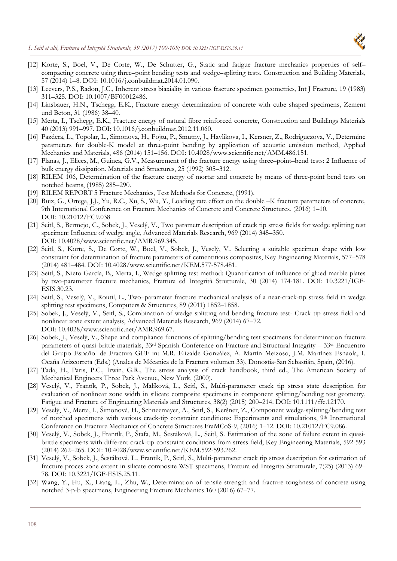

- [12] Korte, S., Boel, V., De Corte, W., De Schutter, G., Static and fatigue fracture mechanics properties of self– compacting concrete using three–point bending tests and wedge–splitting tests. Construction and Building Materials, 57 (2014) 1–8. DOI: 10.1016/j.conbuildmat.2014.01.090.
- [13] Leevers, P.S., Radon, J.C., Inherent stress biaxiality in various fracture specimen geometries, Int J Fracture, 19 (1983) 311–325. DOI: 10.1007/BF00012486.
- [14] Linsbauer, H.N., Tschegg, E.K., Fracture energy determination of concrete with cube shaped specimens, Zement und Beton, 31 (1986) 38–40.
- [15] Merta, I., Tschegg, E.K., Fracture energy of natural fibre reinforced concrete, Construction and Buildings Materials 40 (2013) 991–997. DOI: 10.1016/j.conbuildmat.2012.11.060.
- [16] Pazdera, L., Topolar, L., Simonova, H., Fojtu, P., Smutny, J., Havlikova, I., Kersner, Z., Rodriguezova, V., Determine parameters for double-K model at three-point bending by application of acoustic emission method, Applied Mechanics and Materials, 486 (2014) 151–156. DOI**:** 10.4028/www.scientific.net/AMM.486.151.
- [17] Planas, J., Elices, M., Guinea, G.V., Measurement of the fracture energy using three–point–bend tests: 2 Influence of bulk energy dissipation. Materials and Structures, 25 (1992) 305–312.
- [18] RILEM 106, Determination of the fracture energy of mortar and concrete by means of three-point bend tests on notched beams, (1985) 285–290.
- [19] RILEM REPORT 5 Fracture Mechanics, Test Methods for Concrete, (1991).
- [20] Ruiz, G., Ortega, J.J., Yu, R.C., Xu, S., Wu, Y., Loading rate effect on the double –K fracture parameters of concrete, 9th International Conference on Fracture Mechanics of Concrete and Concrete Structures, (2016) 1–10. DOI: 10.21012/FC9.038
- [21] Seitl, S., Bermejo, C., Sobek, J., Veselý, V., Two parametr description of crack tip stress fields for wedge splitting test specimen: Influence of wedge angle, Advanced Materials Research, 969 (2014) 345–350. DOI: 10.4028/www.scientific.net/AMR.969.345.
- [22] Seitl, S., Korte, S., De Corte, W., Boel, V., Sobek, J., Veselý, V., Selecting a suitable specimen shape with low constraint for determination of fracture parameters of cementitious composites, Key Engineering Materials, 577–578 (2014) 481–484. DOI: 10.4028/www.scientific.net/KEM.577-578.481.
- [23] Seitl, S., Nieto García, B., Merta, I., Wedge splitting test method: Quantification of influence of glued marble plates by two-parameter fracture mechanics, Frattura ed Integrità Strutturale, 30 (2014) 174-181. DOI: 10.3221/IGF-ESIS.30.23.
- [24] Seitl, S., Veselý, V., Routil, L., Two–parameter fracture mechanical analysis of a near-crack-tip stress field in wedge splitting test specimens, Computers & Structures, 89 (2011) 1852–1858.
- [25] Sobek, J., Veselý, V., Seitl, S., Combination of wedge splitting and bending fracture test- Crack tip stress field and nonlinear zone extent analysis, Advanced Materials Research, 969 (2014) 67–72. DOI: 10.4028/www.scientific.net/AMR.969.67.
- [26] Sobek, J., Veselý, V., Shape and compliance functions of splitting/bending test specimens for determination fracture parameters of quasi-brittle materials, 33rd Spanish Conference on Fracture and Structural Integrity – 33er Encuentro del Grupo Español de Fractura GEF in: M.R. Elizalde González, A. Martín Meizoso, J.M. Martínez Esnaola, I. Ocaña Arizcorreta (Eds.) (Anales de Mécanica de la Fractura volumen 33), Donostia‐San Sebastián, Spain, (2016).
- [27] Tada, H., Paris, P.C., Irwin, G.R., The stress analysis of crack handbook, third ed., The American Society of Mechanical Engineers Three Park Avenue, New York, (2000).
- [28] Veselý, V., Frantík, P., Sobek, J., Malíková, L., Seitl, S., Multi-parameter crack tip stress state description for evaluation of nonlinear zone width in silicate composite specimens in component splitting/bending test geometry, Fatigue and Fracture of Engineering Materials and Structures, 38(2) (2015) 200–214. DOI**:** 10.1111/ffe.12170.
- [29] Veselý, V., Merta, I., Šimonová, H., Schneemayer, A., Seitl, S., Keršner, Z., Component wedge-splitting/bending test of notched specimens with various crack-tip constraint conditions: Experiments and simulations, 9th International Conference on Fracture Mechanics of Concrete Structures FraMCoS-9, (2016) 1–12. DOI: 10.21012/FC9.086.
- [30] Veselý, V., Sobek, J., Frantík, P., Štafa, M., Šestáková, L., Seitl, S. Estimation of the zone of failure extent in quasibrittle specimens with different crack-tip constraint conditions from stress field, Key Engineering Materials, 592-593 (2014) 262–265. DOI: 10.4028/www.scientific.net/KEM.592-593.262.
- [31] Veselý, V., Sobek, J., Šestáková, L., Frantík, P., Seitl, S., Multi-parameter crack tip stress description for estimation of fracture proces zone extent in silicate composite WST specimens, Frattura ed Integrita Strutturale, 7(25) (2013) 69– 78. DOI: 10.3221/IGF-ESIS.25.11.
- [32] Wang, Y., Hu, X., Liang, L., Zhu, W., Determination of tensile strength and fracture toughness of concrete using notched 3-p-b specimens, Engineering Fracture Mechanics 160 (2016) 67–77.